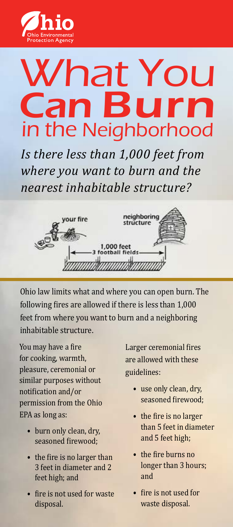

## What You Can Burn in the Neighborhood

*Is there less than 1,000 feet from where you want to burn and the nearest inhabitable structure?*



Ohio law limits what and where you can open burn. The following fires are allowed if there is less than 1,000 feet from where you want to burn and a neighboring inhabitable structure.

You may have a fire for cooking, warmth, pleasure, ceremonial or similar purposes without notification and/or permission from the Ohio EPA as long as:

- burn only clean, dry, seasoned firewood;
- the fire is no larger than 3 feet in diameter and 2 feet high; and
- fire is not used for waste disposal.

Larger ceremonial fires are allowed with these guidelines:

- use only clean, dry, seasoned firewood;
- the fire is no larger than 5 feet in diameter and 5 feet high;
- the fire burns no longer than 3 hours; and
- fire is not used for waste disposal.